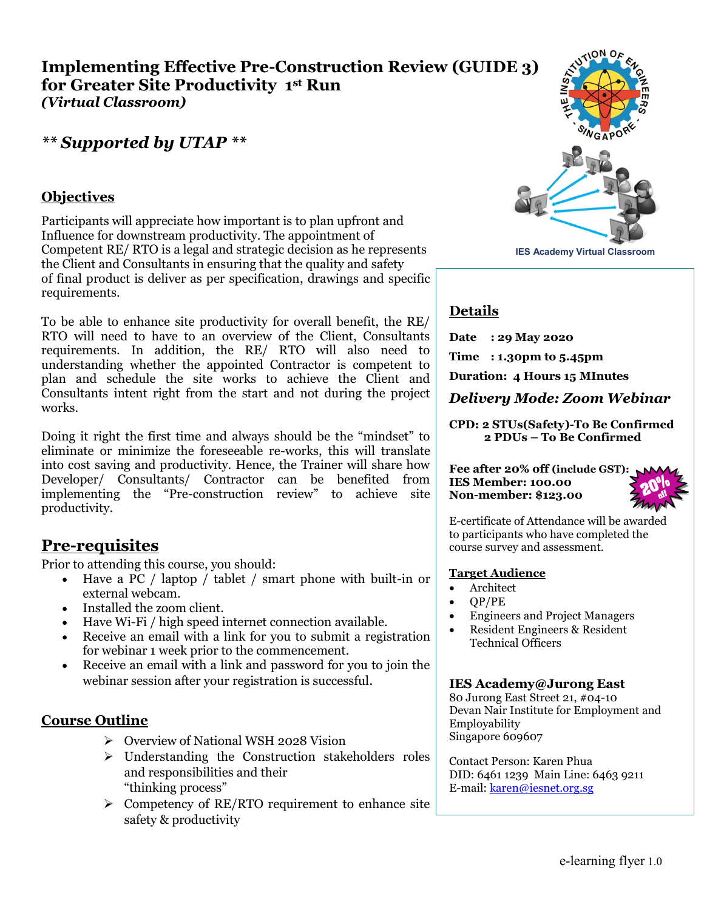## **Implementing Effective Pre-Construction Review (GUIDE 3) for Greater Site Productivity 1st Run** *(Virtual Classroom)*

## *\*\* Supported by UTAP \*\**

## **Objectives**

Participants will appreciate how important is to plan upfront and Influence for downstream productivity. The appointment of Competent RE/ RTO is a legal and strategic decision as he represents the Client and Consultants in ensuring that the quality and safety of final product is deliver as per specification, drawings and specific requirements.

To be able to enhance site productivity for overall benefit, the RE/ RTO will need to have to an overview of the Client, Consultants requirements. In addition, the RE/ RTO will also need to understanding whether the appointed Contractor is competent to plan and schedule the site works to achieve the Client and Consultants intent right from the start and not during the project works.

Doing it right the first time and always should be the "mindset" to eliminate or minimize the foreseeable re-works, this will translate into cost saving and productivity. Hence, the Trainer will share how Developer/ Consultants/ Contractor can be benefited from implementing the "Pre-construction review" to achieve site productivity.

## **Pre-requisites**

Prior to attending this course, you should:

- Have a PC / laptop / tablet / smart phone with built-in or external webcam.
- Installed the zoom client.
- Have Wi-Fi / high speed internet connection available.
- Receive an email with a link for you to submit a registration for webinar 1 week prior to the commencement.
- Receive an email with a link and password for you to join the webinar session after your registration is successful.

## **Course Outline**

- Overview of National WSH 2028 Vision
- $\triangleright$  Understanding the Construction stakeholders roles and responsibilities and their "thinking process"
- $\triangleright$  Competency of RE/RTO requirement to enhance site safety & productivity



## **Details**

**Date : 29 May 2020**

**Time : 1.30pm to 5.45pm**

**Duration: 4 Hours 15 MInutes**

*Delivery Mode: Zoom Webinar*

**CPD: 2 STUs(Safety)-To Be Confirmed 2 PDUs – To Be Confirmed** 

**Fee after 20% off (include GST): IES Member: 100.00 Non-member: \$123.00**



E-certificate of Attendance will be awarded to participants who have completed the course survey and assessment.

#### **Target Audience**

- Architect
- $\bullet$  QP/PE
- Engineers and Project Managers
- Resident Engineers & Resident Technical Officers

#### **IES Academy@Jurong East**

80 Jurong East Street 21, #04-10 Devan Nair Institute for Employment and Employability Singapore 609607

Contact Person: Karen Phua DID: 6461 1239 Main Line: 6463 9211 E-mail: [karen@iesnet.org.sg](mailto:karen@iesnet.org.sg)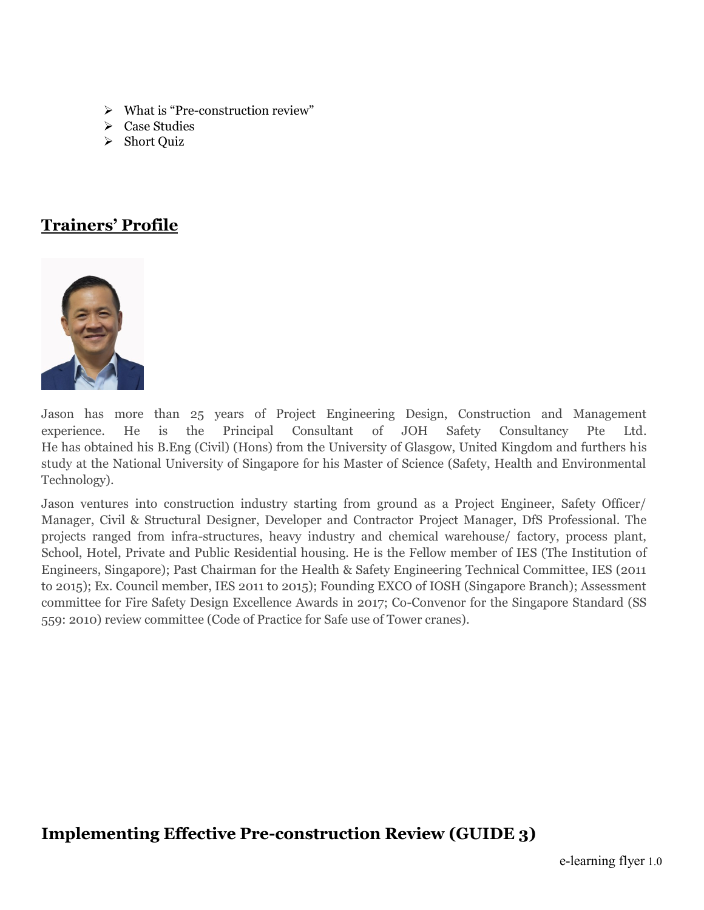- $\triangleright$  What is "Pre-construction review"
- $\triangleright$  Case Studies
- Short Ouiz

# **Trainers' Profile**



Jason has more than 25 years of Project Engineering Design, Construction and Management experience. He is the Principal Consultant of JOH Safety Consultancy Pte Ltd. He has obtained his B.Eng (Civil) (Hons) from the University of Glasgow, United Kingdom and furthers his study at the National University of Singapore for his Master of Science (Safety, Health and Environmental Technology).

Jason ventures into construction industry starting from ground as a Project Engineer, Safety Officer/ Manager, Civil & Structural Designer, Developer and Contractor Project Manager, DfS Professional. The projects ranged from infra-structures, heavy industry and chemical warehouse/ factory, process plant, School, Hotel, Private and Public Residential housing. He is the Fellow member of IES (The Institution of Engineers, Singapore); Past Chairman for the Health & Safety Engineering Technical Committee, IES (2011 to 2015); Ex. Council member, IES 2011 to 2015); Founding EXCO of IOSH (Singapore Branch); Assessment committee for Fire Safety Design Excellence Awards in 2017; Co-Convenor for the Singapore Standard (SS 559: 2010) review committee (Code of Practice for Safe use of Tower cranes).

# **Implementing Effective Pre-construction Review (GUIDE 3)**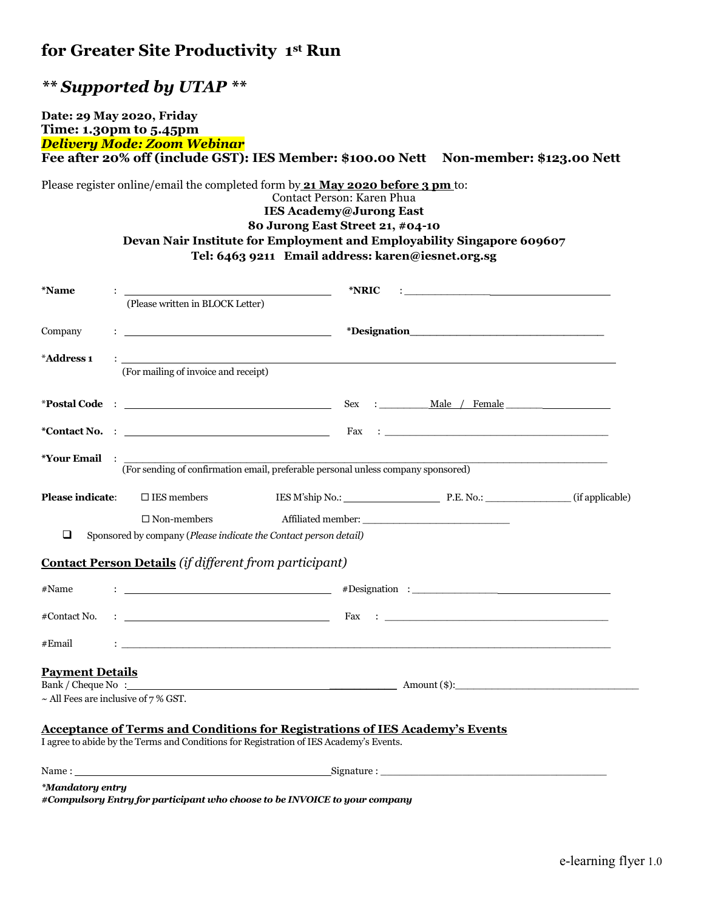# *\*\* Supported by UTAP \*\**

#### **Date: 29 May 2020, Friday Time: 1.30pm to 5.45pm** *Delivery Mode: Zoom Webinar* **Fee after 20% off (include GST): IES Member: \$100.00 Nett Non-member: \$123.00 Nett**

Please register online/email the completed form by **21 May 2020 before 3 pm** to:

Contact Person: Karen Phua **IES Academy@Jurong East**

## **80 Jurong East Street 21, #04-10 Devan Nair Institute for Employment and Employability Singapore 609607 Tel: 6463 9211 Email address: karen@iesnet.org.sg**

| <i><b>*Name</b></i>                       |                                                                                                                                                                                                                               | *NRIC                                                                                                                                                                                                                                                                                                                                                  | the contract of the contract of the contract of the contract of the contract of the contract of the contract of                                                                                                                |  |
|-------------------------------------------|-------------------------------------------------------------------------------------------------------------------------------------------------------------------------------------------------------------------------------|--------------------------------------------------------------------------------------------------------------------------------------------------------------------------------------------------------------------------------------------------------------------------------------------------------------------------------------------------------|--------------------------------------------------------------------------------------------------------------------------------------------------------------------------------------------------------------------------------|--|
|                                           | (Please written in BLOCK Letter)                                                                                                                                                                                              |                                                                                                                                                                                                                                                                                                                                                        |                                                                                                                                                                                                                                |  |
| Company                                   | <u> 1989 - Jan Samuel Barbara, menyebaran bagian perang perang perang perang perang perang perang perang perang pe</u>                                                                                                        |                                                                                                                                                                                                                                                                                                                                                        |                                                                                                                                                                                                                                |  |
| *Address 1                                |                                                                                                                                                                                                                               |                                                                                                                                                                                                                                                                                                                                                        |                                                                                                                                                                                                                                |  |
|                                           | (For mailing of invoice and receipt)                                                                                                                                                                                          |                                                                                                                                                                                                                                                                                                                                                        |                                                                                                                                                                                                                                |  |
|                                           |                                                                                                                                                                                                                               |                                                                                                                                                                                                                                                                                                                                                        | Sex : Male / Female                                                                                                                                                                                                            |  |
|                                           | *Contact No. : The contract No. : The contract No. : The contract No. : The contract No. : The contract No. : The contract No. : The contract No. : The contract No. : The contract No. : The contract No. : The contract No. |                                                                                                                                                                                                                                                                                                                                                        | Fax : The contract of the contract of the contract of the contract of the contract of the contract of the contract of the contract of the contract of the contract of the contract of the contract of the contract of the cont |  |
| *Your Email : ______                      |                                                                                                                                                                                                                               | (For sending of confirmation email, preferable personal unless company sponsored)                                                                                                                                                                                                                                                                      |                                                                                                                                                                                                                                |  |
|                                           |                                                                                                                                                                                                                               |                                                                                                                                                                                                                                                                                                                                                        |                                                                                                                                                                                                                                |  |
| <b>Please indicate:</b>                   | $\square$ IES members                                                                                                                                                                                                         |                                                                                                                                                                                                                                                                                                                                                        | IES M'ship No.: P.E. No.: (if applicable)                                                                                                                                                                                      |  |
|                                           | $\Box$ Non-members                                                                                                                                                                                                            |                                                                                                                                                                                                                                                                                                                                                        |                                                                                                                                                                                                                                |  |
| ❏                                         | Sponsored by company (Please indicate the Contact person detail)                                                                                                                                                              |                                                                                                                                                                                                                                                                                                                                                        |                                                                                                                                                                                                                                |  |
|                                           | Contact Person Details (if different from participant)                                                                                                                                                                        |                                                                                                                                                                                                                                                                                                                                                        |                                                                                                                                                                                                                                |  |
| #Name                                     |                                                                                                                                                                                                                               |                                                                                                                                                                                                                                                                                                                                                        |                                                                                                                                                                                                                                |  |
| #Contact No.                              |                                                                                                                                                                                                                               | $\vdots$ $\qquad \qquad$ $\qquad \qquad$ $\qquad \qquad$ $\qquad$ $\qquad \qquad$ $\qquad$ $\qquad$ $\qquad$ $\qquad$ $\qquad$ $\qquad$ $\qquad$ $\qquad$ $\qquad$ $\qquad$ $\qquad$ $\qquad$ $\qquad$ $\qquad$ $\qquad$ $\qquad$ $\qquad$ $\qquad$ $\qquad$ $\qquad$ $\qquad$ $\qquad$ $\qquad$ $\qquad$ $\qquad$ $\qquad$ $\qquad$ $\qquad$ $\qquad$ |                                                                                                                                                                                                                                |  |
| #Email                                    |                                                                                                                                                                                                                               | <u>: https://www.com/android-android-android-android-android-android-android-android-android-android-android-andr</u>                                                                                                                                                                                                                                  |                                                                                                                                                                                                                                |  |
| <b>Payment Details</b>                    |                                                                                                                                                                                                                               |                                                                                                                                                                                                                                                                                                                                                        |                                                                                                                                                                                                                                |  |
|                                           |                                                                                                                                                                                                                               |                                                                                                                                                                                                                                                                                                                                                        |                                                                                                                                                                                                                                |  |
| $\sim$ All Fees are inclusive of 7 % GST. |                                                                                                                                                                                                                               |                                                                                                                                                                                                                                                                                                                                                        |                                                                                                                                                                                                                                |  |
|                                           |                                                                                                                                                                                                                               | <b>Acceptance of Terms and Conditions for Registrations of IES Academy's Events</b>                                                                                                                                                                                                                                                                    |                                                                                                                                                                                                                                |  |
|                                           |                                                                                                                                                                                                                               | I agree to abide by the Terms and Conditions for Registration of IES Academy's Events.                                                                                                                                                                                                                                                                 |                                                                                                                                                                                                                                |  |
|                                           |                                                                                                                                                                                                                               |                                                                                                                                                                                                                                                                                                                                                        |                                                                                                                                                                                                                                |  |
| *Mandatory entry                          |                                                                                                                                                                                                                               |                                                                                                                                                                                                                                                                                                                                                        |                                                                                                                                                                                                                                |  |

*#Compulsory Entry for participant who choose to be INVOICE to your company*